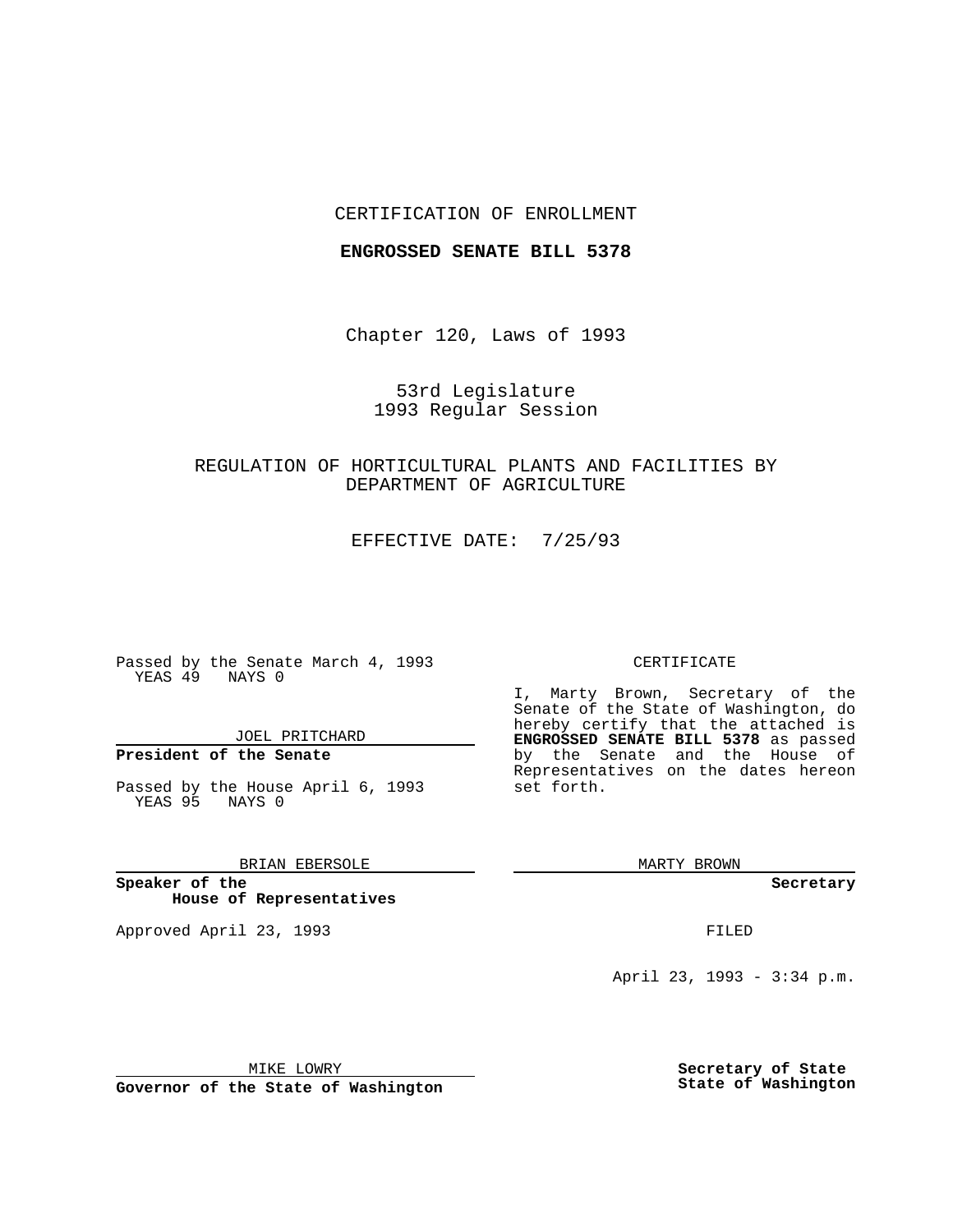### CERTIFICATION OF ENROLLMENT

#### **ENGROSSED SENATE BILL 5378**

Chapter 120, Laws of 1993

53rd Legislature 1993 Regular Session

# REGULATION OF HORTICULTURAL PLANTS AND FACILITIES BY DEPARTMENT OF AGRICULTURE

EFFECTIVE DATE: 7/25/93

Passed by the Senate March 4, 1993 YEAS 49 NAYS 0

JOEL PRITCHARD

**President of the Senate**

Passed by the House April 6, 1993 YEAS 95 NAYS 0

BRIAN EBERSOLE

**Speaker of the House of Representatives**

Approved April 23, 1993 **FILED** 

#### CERTIFICATE

I, Marty Brown, Secretary of the Senate of the State of Washington, do hereby certify that the attached is **ENGROSSED SENATE BILL 5378** as passed by the Senate and the House of Representatives on the dates hereon set forth.

MARTY BROWN

**Secretary**

April 23, 1993 - 3:34 p.m.

MIKE LOWRY

**Governor of the State of Washington**

**Secretary of State State of Washington**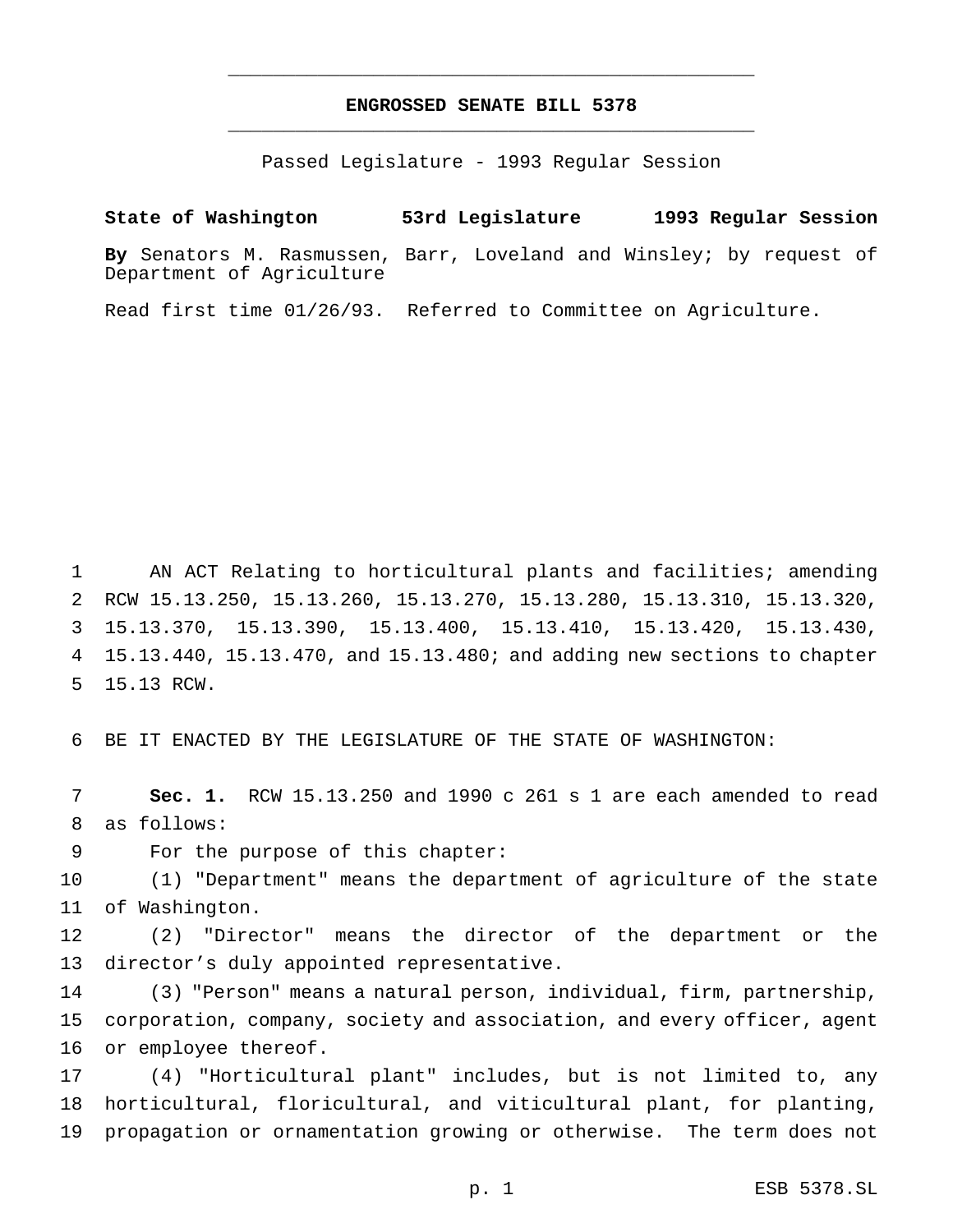# **ENGROSSED SENATE BILL 5378** \_\_\_\_\_\_\_\_\_\_\_\_\_\_\_\_\_\_\_\_\_\_\_\_\_\_\_\_\_\_\_\_\_\_\_\_\_\_\_\_\_\_\_\_\_\_\_

\_\_\_\_\_\_\_\_\_\_\_\_\_\_\_\_\_\_\_\_\_\_\_\_\_\_\_\_\_\_\_\_\_\_\_\_\_\_\_\_\_\_\_\_\_\_\_

Passed Legislature - 1993 Regular Session

**State of Washington 53rd Legislature 1993 Regular Session By** Senators M. Rasmussen, Barr, Loveland and Winsley; by request of Department of Agriculture

Read first time 01/26/93. Referred to Committee on Agriculture.

 AN ACT Relating to horticultural plants and facilities; amending RCW 15.13.250, 15.13.260, 15.13.270, 15.13.280, 15.13.310, 15.13.320, 15.13.370, 15.13.390, 15.13.400, 15.13.410, 15.13.420, 15.13.430, 15.13.440, 15.13.470, and 15.13.480; and adding new sections to chapter 15.13 RCW.

BE IT ENACTED BY THE LEGISLATURE OF THE STATE OF WASHINGTON:

 **Sec. 1.** RCW 15.13.250 and 1990 c 261 s 1 are each amended to read as follows:

For the purpose of this chapter:

 (1) "Department" means the department of agriculture of the state of Washington.

 (2) "Director" means the director of the department or the director's duly appointed representative.

 (3) "Person" means a natural person, individual, firm, partnership, corporation, company, society and association, and every officer, agent or employee thereof.

 (4) "Horticultural plant" includes, but is not limited to, any horticultural, floricultural, and viticultural plant, for planting, propagation or ornamentation growing or otherwise. The term does not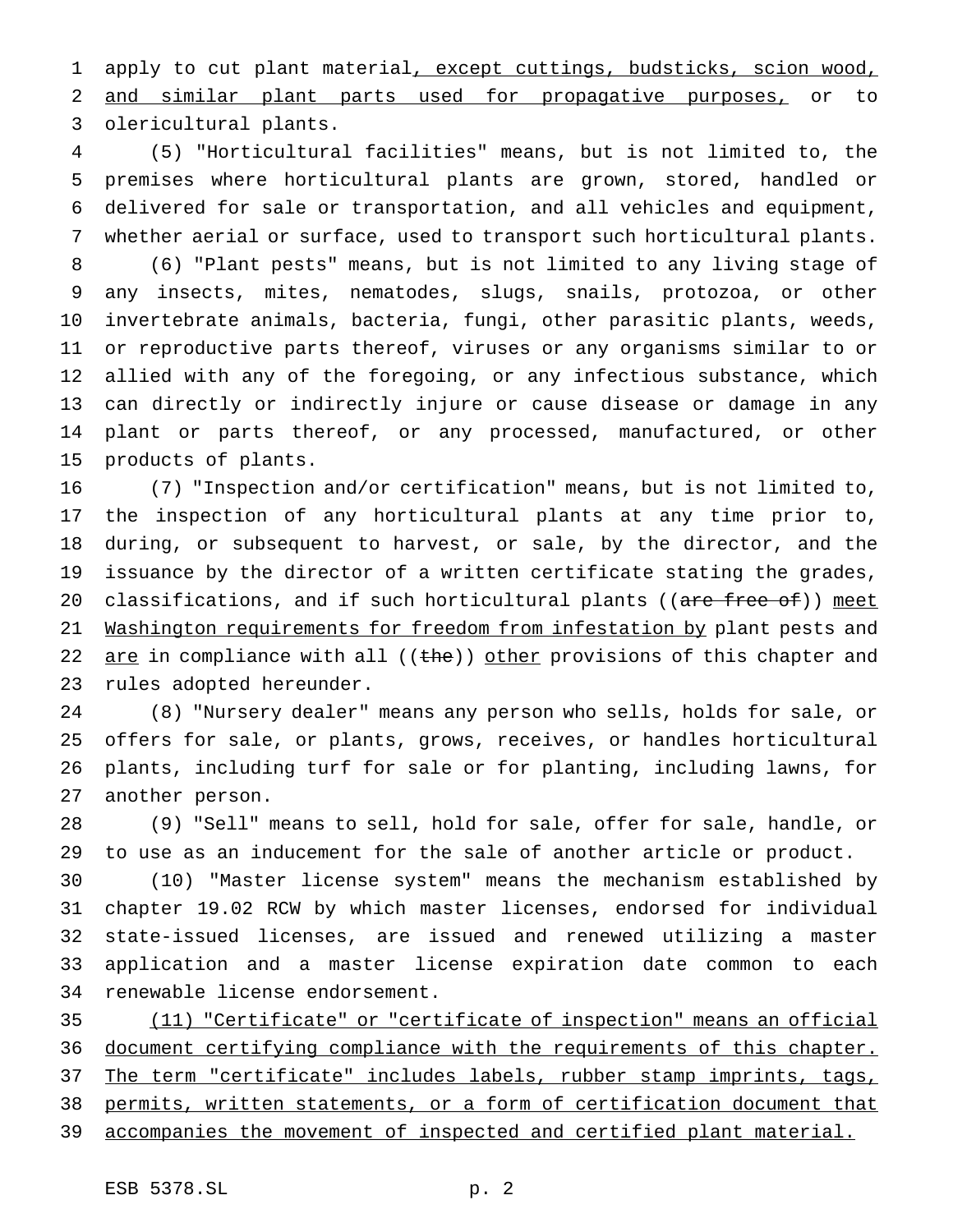1 apply to cut plant material, except cuttings, budsticks, scion wood, and similar plant parts used for propagative purposes, or to olericultural plants.

 (5) "Horticultural facilities" means, but is not limited to, the premises where horticultural plants are grown, stored, handled or delivered for sale or transportation, and all vehicles and equipment, whether aerial or surface, used to transport such horticultural plants.

 (6) "Plant pests" means, but is not limited to any living stage of any insects, mites, nematodes, slugs, snails, protozoa, or other invertebrate animals, bacteria, fungi, other parasitic plants, weeds, or reproductive parts thereof, viruses or any organisms similar to or allied with any of the foregoing, or any infectious substance, which can directly or indirectly injure or cause disease or damage in any plant or parts thereof, or any processed, manufactured, or other products of plants.

 (7) "Inspection and/or certification" means, but is not limited to, the inspection of any horticultural plants at any time prior to, during, or subsequent to harvest, or sale, by the director, and the issuance by the director of a written certificate stating the grades, 20 classifications, and if such horticultural plants ((are free of)) meet 21 Washington requirements for freedom from infestation by plant pests and 22 are in compliance with all ((the)) other provisions of this chapter and rules adopted hereunder.

 (8) "Nursery dealer" means any person who sells, holds for sale, or offers for sale, or plants, grows, receives, or handles horticultural plants, including turf for sale or for planting, including lawns, for another person.

 (9) "Sell" means to sell, hold for sale, offer for sale, handle, or to use as an inducement for the sale of another article or product.

 (10) "Master license system" means the mechanism established by chapter 19.02 RCW by which master licenses, endorsed for individual state-issued licenses, are issued and renewed utilizing a master application and a master license expiration date common to each renewable license endorsement.

 (11) "Certificate" or "certificate of inspection" means an official document certifying compliance with the requirements of this chapter. 37 The term "certificate" includes labels, rubber stamp imprints, tags, permits, written statements, or a form of certification document that accompanies the movement of inspected and certified plant material.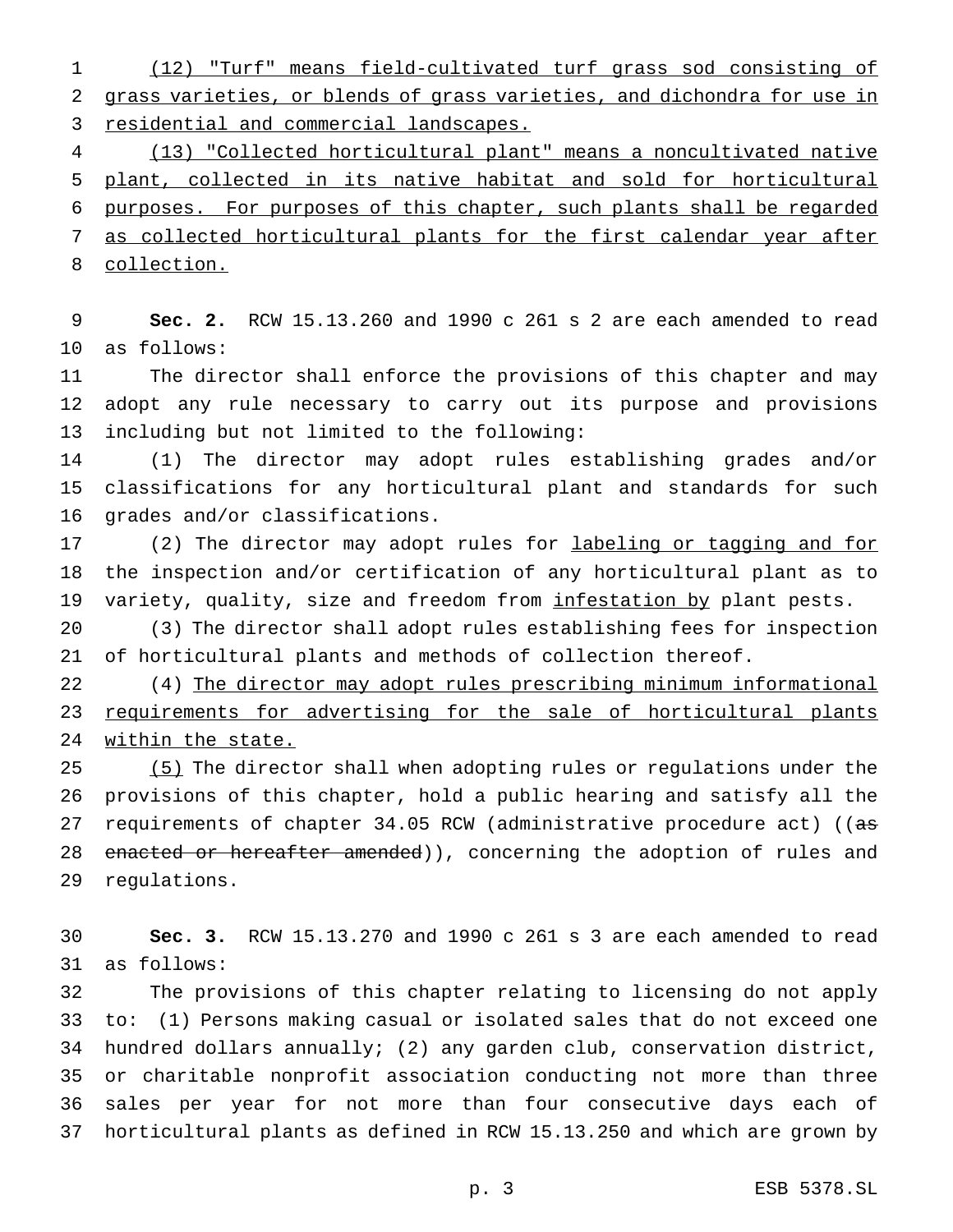(12) "Turf" means field-cultivated turf grass sod consisting of grass varieties, or blends of grass varieties, and dichondra for use in 3 residential and commercial landscapes.

 (13) "Collected horticultural plant" means a noncultivated native plant, collected in its native habitat and sold for horticultural purposes. For purposes of this chapter, such plants shall be regarded as collected horticultural plants for the first calendar year after collection.

 **Sec. 2.** RCW 15.13.260 and 1990 c 261 s 2 are each amended to read as follows:

 The director shall enforce the provisions of this chapter and may adopt any rule necessary to carry out its purpose and provisions including but not limited to the following:

 (1) The director may adopt rules establishing grades and/or classifications for any horticultural plant and standards for such grades and/or classifications.

17 (2) The director may adopt rules for labeling or tagging and for the inspection and/or certification of any horticultural plant as to variety, quality, size and freedom from infestation by plant pests.

 (3) The director shall adopt rules establishing fees for inspection of horticultural plants and methods of collection thereof.

 (4) The director may adopt rules prescribing minimum informational requirements for advertising for the sale of horticultural plants within the state.

25 (5) The director shall when adopting rules or regulations under the provisions of this chapter, hold a public hearing and satisfy all the 27 requirements of chapter 34.05 RCW (administrative procedure act) ((as 28 enacted or hereafter amended)), concerning the adoption of rules and regulations.

 **Sec. 3.** RCW 15.13.270 and 1990 c 261 s 3 are each amended to read as follows:

 The provisions of this chapter relating to licensing do not apply to: (1) Persons making casual or isolated sales that do not exceed one hundred dollars annually; (2) any garden club, conservation district, or charitable nonprofit association conducting not more than three sales per year for not more than four consecutive days each of horticultural plants as defined in RCW 15.13.250 and which are grown by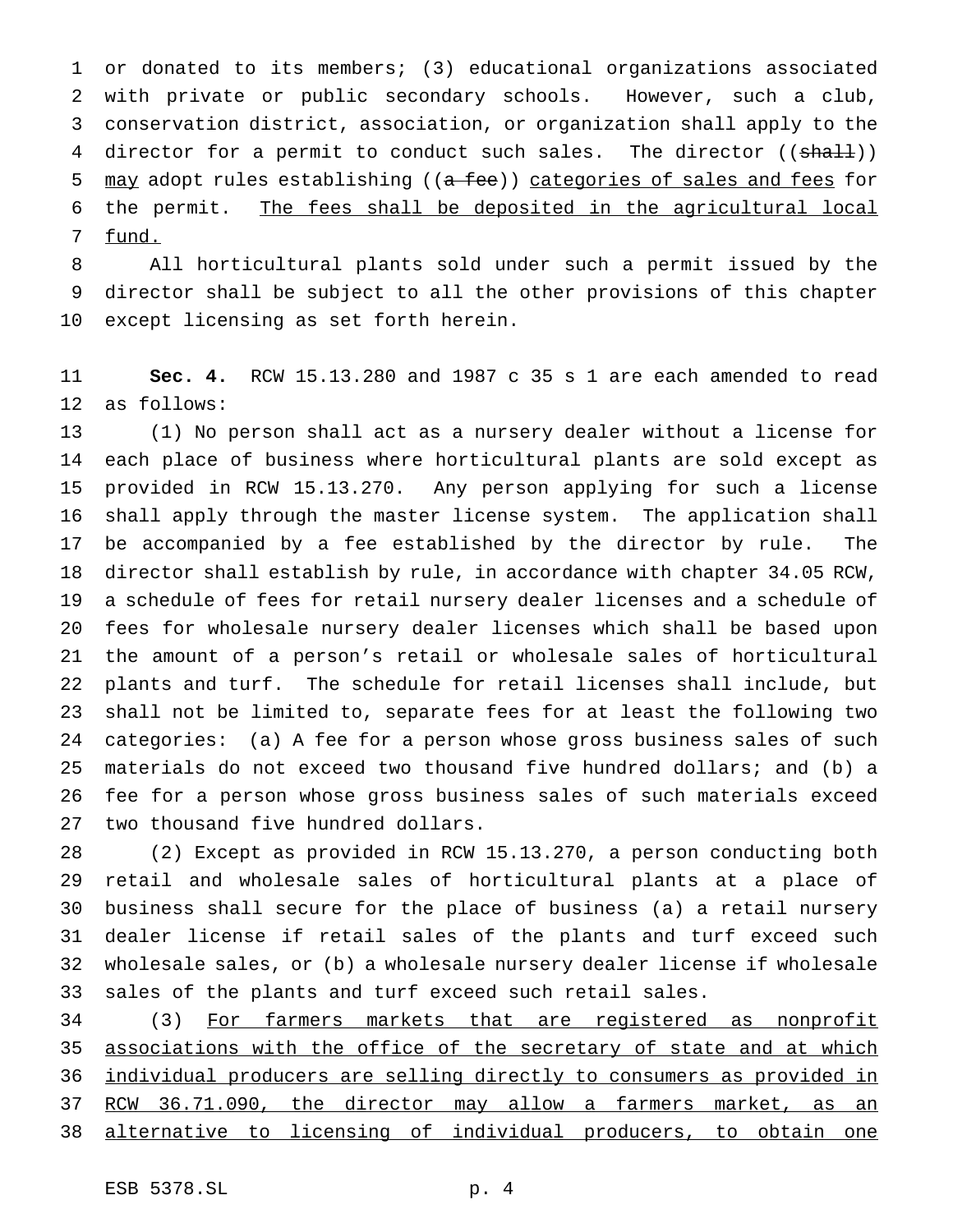or donated to its members; (3) educational organizations associated with private or public secondary schools. However, such a club, conservation district, association, or organization shall apply to the 4 director for a permit to conduct such sales. The director ((shall)) 5 may adopt rules establishing ((a fee)) categories of sales and fees for the permit. The fees shall be deposited in the agricultural local fund.

 All horticultural plants sold under such a permit issued by the director shall be subject to all the other provisions of this chapter except licensing as set forth herein.

 **Sec. 4.** RCW 15.13.280 and 1987 c 35 s 1 are each amended to read as follows:

 (1) No person shall act as a nursery dealer without a license for each place of business where horticultural plants are sold except as provided in RCW 15.13.270. Any person applying for such a license shall apply through the master license system. The application shall be accompanied by a fee established by the director by rule. The director shall establish by rule, in accordance with chapter 34.05 RCW, a schedule of fees for retail nursery dealer licenses and a schedule of fees for wholesale nursery dealer licenses which shall be based upon the amount of a person's retail or wholesale sales of horticultural plants and turf. The schedule for retail licenses shall include, but shall not be limited to, separate fees for at least the following two categories: (a) A fee for a person whose gross business sales of such materials do not exceed two thousand five hundred dollars; and (b) a fee for a person whose gross business sales of such materials exceed two thousand five hundred dollars.

 (2) Except as provided in RCW 15.13.270, a person conducting both retail and wholesale sales of horticultural plants at a place of business shall secure for the place of business (a) a retail nursery dealer license if retail sales of the plants and turf exceed such wholesale sales, or (b) a wholesale nursery dealer license if wholesale sales of the plants and turf exceed such retail sales.

 (3) For farmers markets that are registered as nonprofit 35 associations with the office of the secretary of state and at which individual producers are selling directly to consumers as provided in 37 RCW 36.71.090, the director may allow a farmers market, as an alternative to licensing of individual producers, to obtain one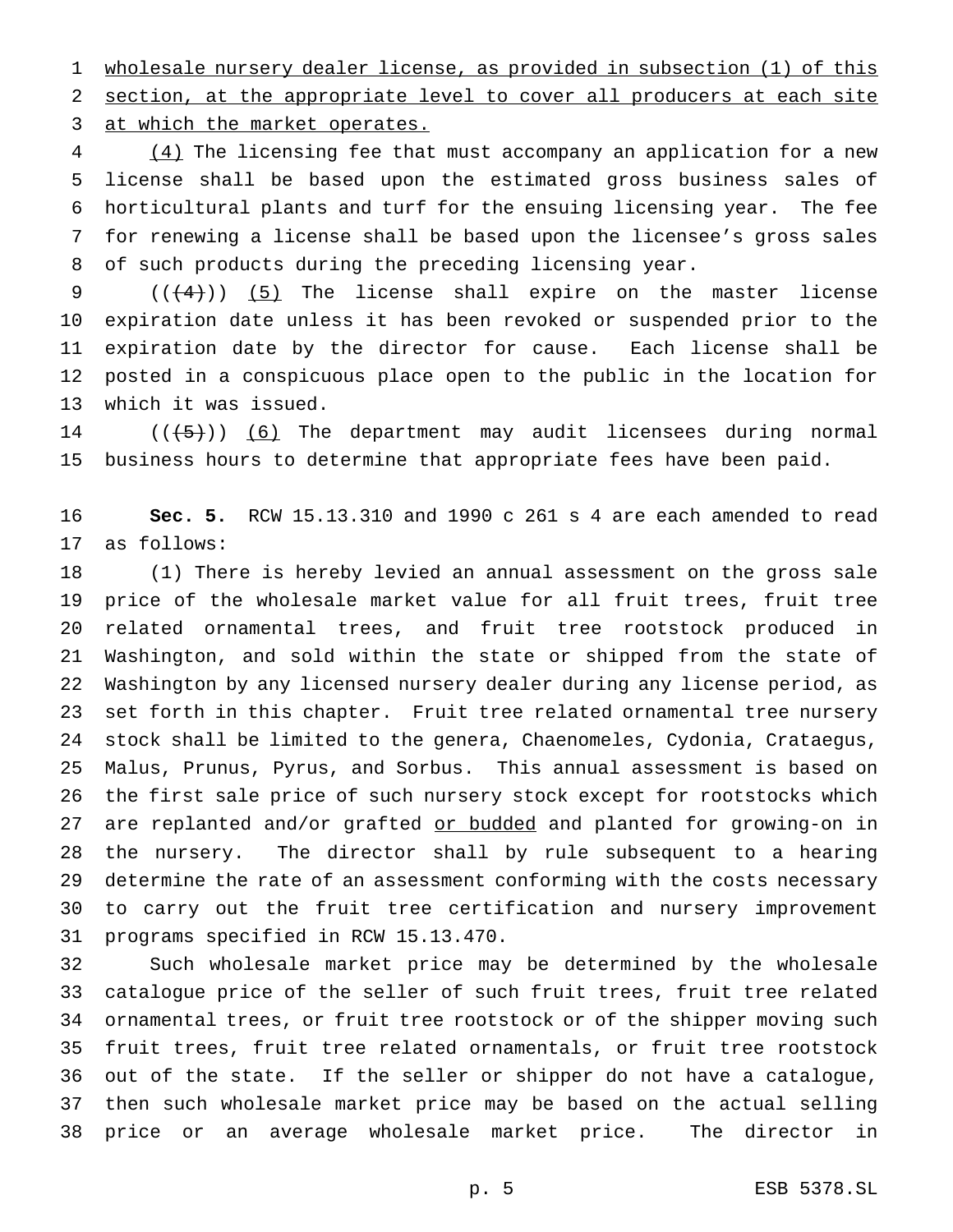wholesale nursery dealer license, as provided in subsection (1) of this section, at the appropriate level to cover all producers at each site at which the market operates.

4 (4) The licensing fee that must accompany an application for a new license shall be based upon the estimated gross business sales of horticultural plants and turf for the ensuing licensing year. The fee for renewing a license shall be based upon the licensee's gross sales of such products during the preceding licensing year.

 $((+4))$  (5) The license shall expire on the master license expiration date unless it has been revoked or suspended prior to the expiration date by the director for cause. Each license shall be posted in a conspicuous place open to the public in the location for which it was issued.

14  $((+5))$  (6) The department may audit licensees during normal business hours to determine that appropriate fees have been paid.

 **Sec. 5.** RCW 15.13.310 and 1990 c 261 s 4 are each amended to read as follows:

 (1) There is hereby levied an annual assessment on the gross sale price of the wholesale market value for all fruit trees, fruit tree related ornamental trees, and fruit tree rootstock produced in Washington, and sold within the state or shipped from the state of Washington by any licensed nursery dealer during any license period, as set forth in this chapter. Fruit tree related ornamental tree nursery stock shall be limited to the genera, Chaenomeles, Cydonia, Crataegus, Malus, Prunus, Pyrus, and Sorbus. This annual assessment is based on the first sale price of such nursery stock except for rootstocks which 27 are replanted and/or grafted or budded and planted for growing-on in the nursery. The director shall by rule subsequent to a hearing determine the rate of an assessment conforming with the costs necessary to carry out the fruit tree certification and nursery improvement programs specified in RCW 15.13.470.

 Such wholesale market price may be determined by the wholesale catalogue price of the seller of such fruit trees, fruit tree related ornamental trees, or fruit tree rootstock or of the shipper moving such fruit trees, fruit tree related ornamentals, or fruit tree rootstock out of the state. If the seller or shipper do not have a catalogue, then such wholesale market price may be based on the actual selling price or an average wholesale market price. The director in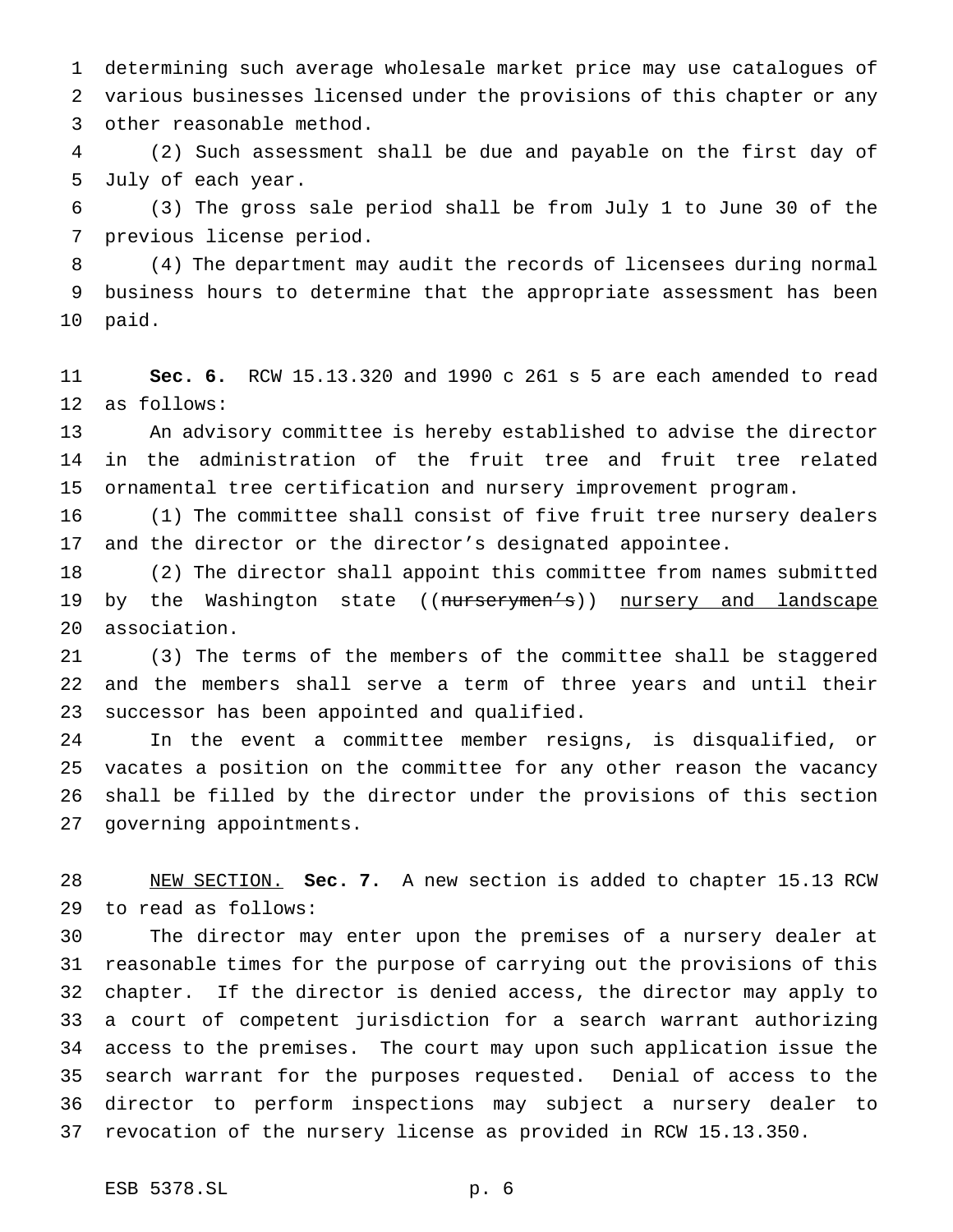determining such average wholesale market price may use catalogues of various businesses licensed under the provisions of this chapter or any other reasonable method.

 (2) Such assessment shall be due and payable on the first day of July of each year.

 (3) The gross sale period shall be from July 1 to June 30 of the previous license period.

 (4) The department may audit the records of licensees during normal business hours to determine that the appropriate assessment has been paid.

 **Sec. 6.** RCW 15.13.320 and 1990 c 261 s 5 are each amended to read as follows:

 An advisory committee is hereby established to advise the director in the administration of the fruit tree and fruit tree related ornamental tree certification and nursery improvement program.

 (1) The committee shall consist of five fruit tree nursery dealers and the director or the director's designated appointee.

 (2) The director shall appoint this committee from names submitted 19 by the Washington state ((nurserymen's)) nursery and landscape association.

 (3) The terms of the members of the committee shall be staggered and the members shall serve a term of three years and until their successor has been appointed and qualified.

 In the event a committee member resigns, is disqualified, or vacates a position on the committee for any other reason the vacancy shall be filled by the director under the provisions of this section governing appointments.

 NEW SECTION. **Sec. 7.** A new section is added to chapter 15.13 RCW to read as follows:

 The director may enter upon the premises of a nursery dealer at reasonable times for the purpose of carrying out the provisions of this chapter. If the director is denied access, the director may apply to a court of competent jurisdiction for a search warrant authorizing access to the premises. The court may upon such application issue the search warrant for the purposes requested. Denial of access to the director to perform inspections may subject a nursery dealer to revocation of the nursery license as provided in RCW 15.13.350.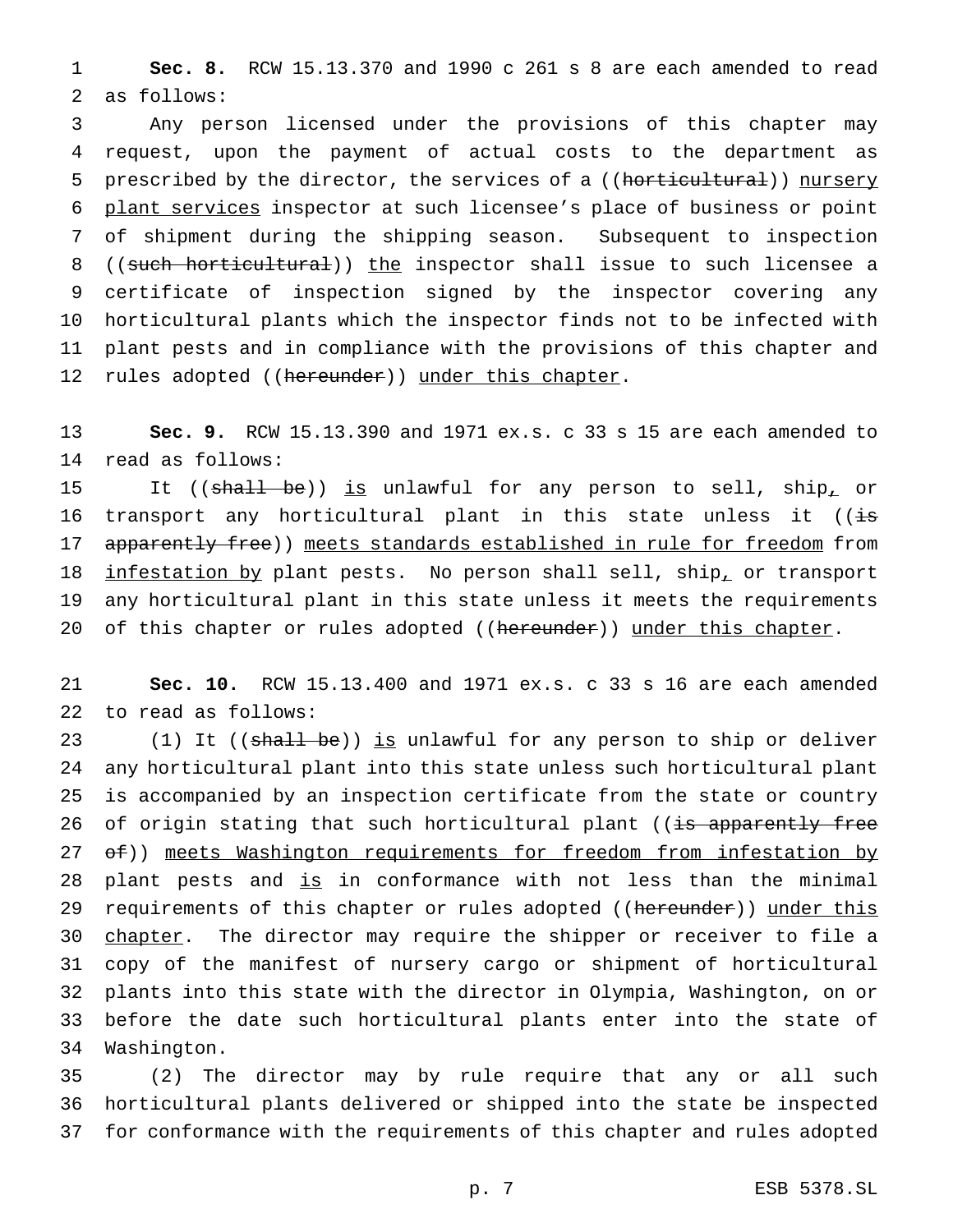**Sec. 8.** RCW 15.13.370 and 1990 c 261 s 8 are each amended to read as follows:

 Any person licensed under the provisions of this chapter may request, upon the payment of actual costs to the department as 5 prescribed by the director, the services of a ((horticultural)) nursery plant services inspector at such licensee's place of business or point of shipment during the shipping season. Subsequent to inspection 8 ((such horticultural)) the inspector shall issue to such licensee a certificate of inspection signed by the inspector covering any horticultural plants which the inspector finds not to be infected with plant pests and in compliance with the provisions of this chapter and 12 rules adopted ((hereunder)) under this chapter.

 **Sec. 9.** RCW 15.13.390 and 1971 ex.s. c 33 s 15 are each amended to read as follows:

15 It ((shall be)) is unlawful for any person to sell, ship<sub>1</sub> or 16 transport any horticultural plant in this state unless it ((is 17 apparently free)) meets standards established in rule for freedom from 18 infestation by plant pests. No person shall sell, ship, or transport any horticultural plant in this state unless it meets the requirements 20 of this chapter or rules adopted ((hereunder)) under this chapter.

 **Sec. 10.** RCW 15.13.400 and 1971 ex.s. c 33 s 16 are each amended to read as follows:

23 (1) It ((shall be)) is unlawful for any person to ship or deliver any horticultural plant into this state unless such horticultural plant is accompanied by an inspection certificate from the state or country 26 of origin stating that such horticultural plant ((is apparently free 27 of)) meets Washington requirements for freedom from infestation by 28 plant pests and is in conformance with not less than the minimal 29 requirements of this chapter or rules adopted ((hereunder)) under this 30 chapter. The director may require the shipper or receiver to file a copy of the manifest of nursery cargo or shipment of horticultural plants into this state with the director in Olympia, Washington, on or before the date such horticultural plants enter into the state of Washington.

 (2) The director may by rule require that any or all such horticultural plants delivered or shipped into the state be inspected for conformance with the requirements of this chapter and rules adopted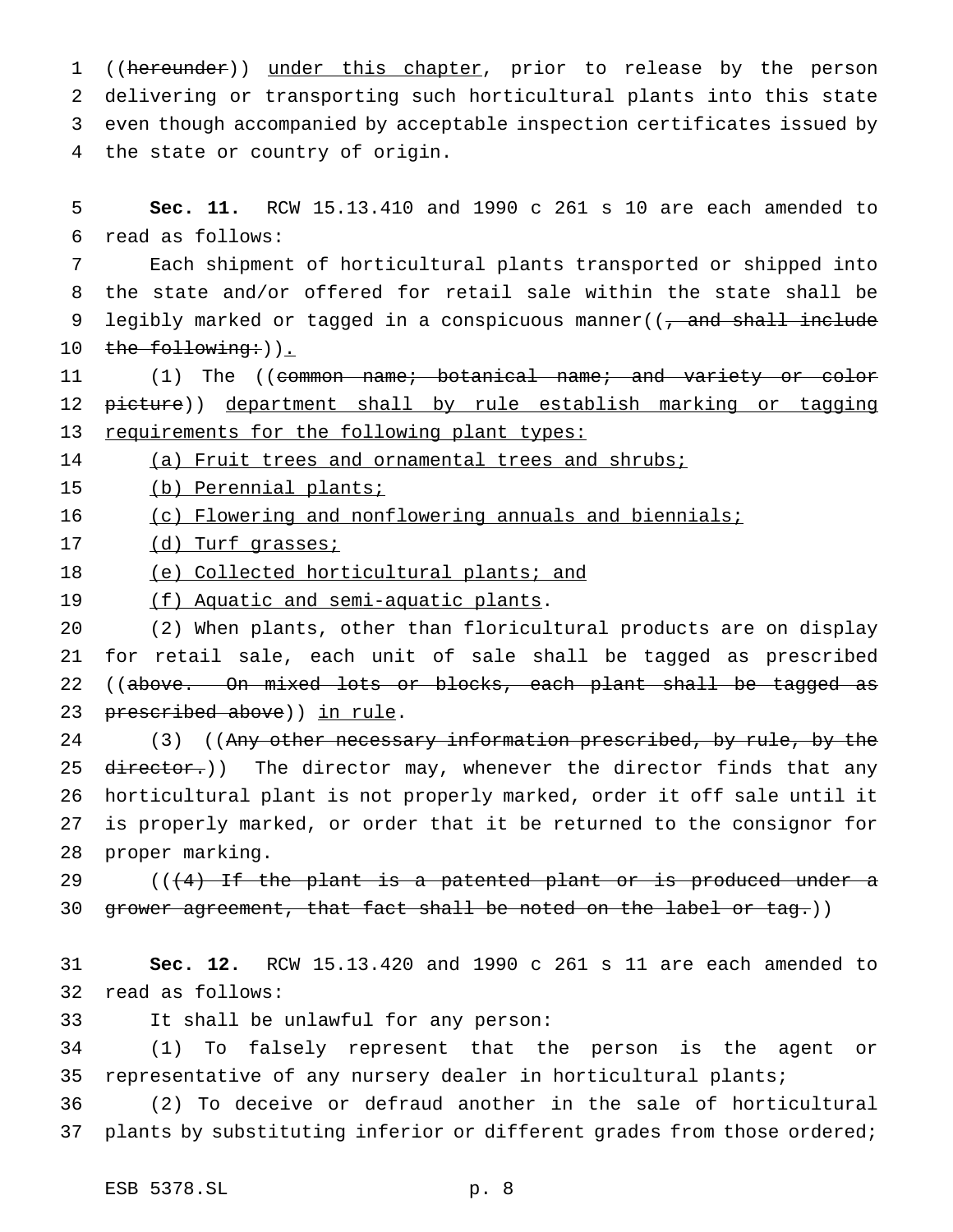1 ((hereunder)) under this chapter, prior to release by the person delivering or transporting such horticultural plants into this state even though accompanied by acceptable inspection certificates issued by the state or country of origin.

 **Sec. 11.** RCW 15.13.410 and 1990 c 261 s 10 are each amended to read as follows:

 Each shipment of horticultural plants transported or shipped into the state and/or offered for retail sale within the state shall be 9 legibly marked or tagged in a conspicuous manner((, and shall include 10 the following: )).

11 (1) The ((common name; botanical name; and variety or color 12 picture)) department shall by rule establish marking or tagging 13 requirements for the following plant types:

14 (a) Fruit trees and ornamental trees and shrubs;

(b) Perennial plants;

(c) Flowering and nonflowering annuals and biennials;

(d) Turf grasses;

18 (e) Collected horticultural plants; and

(f) Aquatic and semi-aquatic plants.

 (2) When plants, other than floricultural products are on display for retail sale, each unit of sale shall be tagged as prescribed 22 ((above. On mixed lots or blocks, each plant shall be tagged as 23 prescribed above)) in rule.

24 (3) ((Any other necessary information prescribed, by rule, by the 25 director.)) The director may, whenever the director finds that any horticultural plant is not properly marked, order it off sale until it is properly marked, or order that it be returned to the consignor for proper marking.

 $((4)$  If the plant is a patented plant or is produced under a 30 grower agreement, that fact shall be noted on the label or tag.))

 **Sec. 12.** RCW 15.13.420 and 1990 c 261 s 11 are each amended to read as follows:

It shall be unlawful for any person:

 (1) To falsely represent that the person is the agent or representative of any nursery dealer in horticultural plants;

 (2) To deceive or defraud another in the sale of horticultural 37 plants by substituting inferior or different grades from those ordered;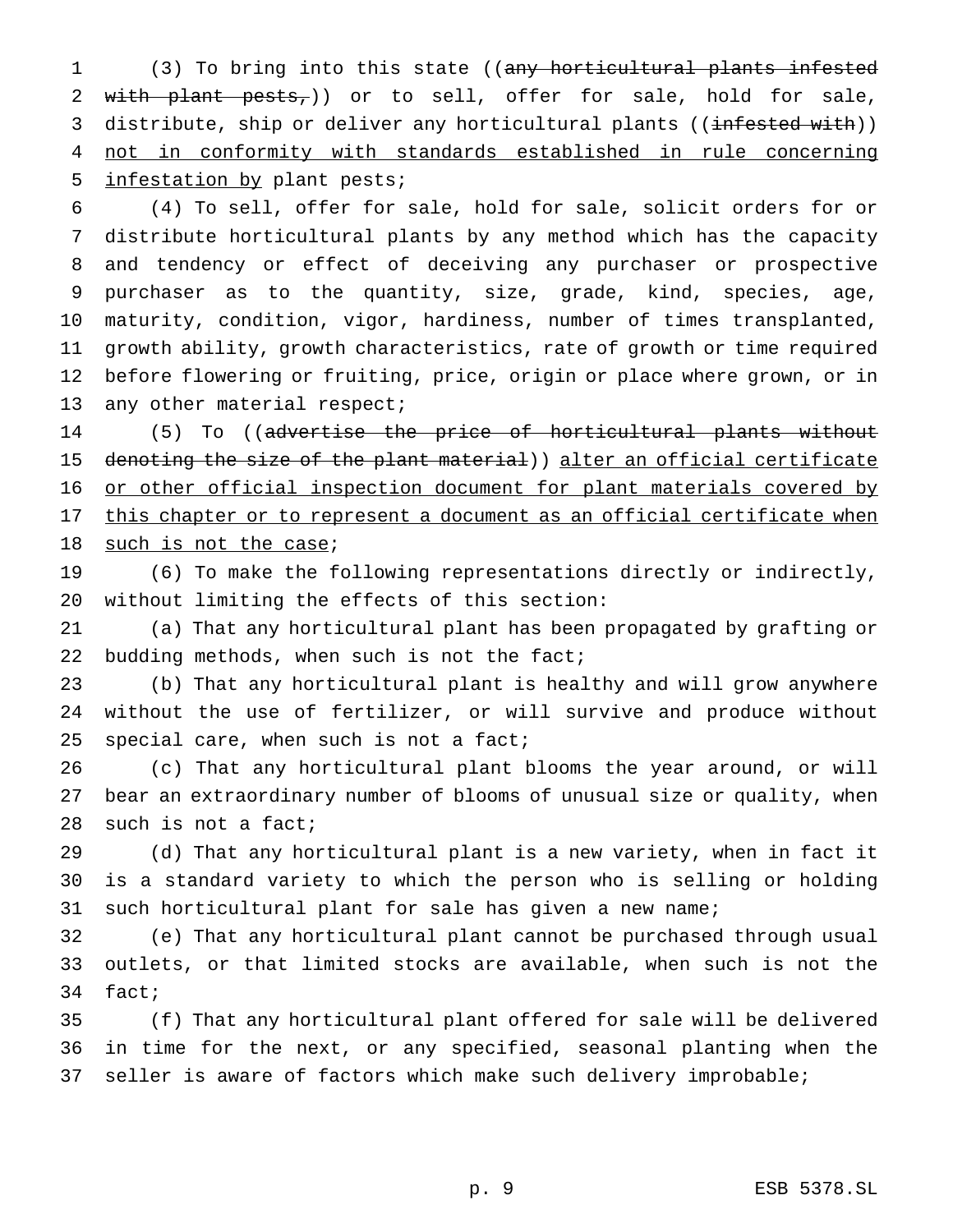(3) To bring into this state ((any horticultural plants infested 2 with plant pests,)) or to sell, offer for sale, hold for sale, 3 distribute, ship or deliver any horticultural plants ((infested with)) not in conformity with standards established in rule concerning infestation by plant pests;

 (4) To sell, offer for sale, hold for sale, solicit orders for or distribute horticultural plants by any method which has the capacity and tendency or effect of deceiving any purchaser or prospective purchaser as to the quantity, size, grade, kind, species, age, maturity, condition, vigor, hardiness, number of times transplanted, growth ability, growth characteristics, rate of growth or time required before flowering or fruiting, price, origin or place where grown, or in 13 any other material respect;

14 (5) To ((advertise the price of horticultural plants without 15 denoting the size of the plant material)) alter an official certificate 16 or other official inspection document for plant materials covered by 17 this chapter or to represent a document as an official certificate when 18 such is not the case;

 (6) To make the following representations directly or indirectly, without limiting the effects of this section:

 (a) That any horticultural plant has been propagated by grafting or 22 budding methods, when such is not the fact;

 (b) That any horticultural plant is healthy and will grow anywhere without the use of fertilizer, or will survive and produce without 25 special care, when such is not a fact;

 (c) That any horticultural plant blooms the year around, or will bear an extraordinary number of blooms of unusual size or quality, when such is not a fact;

 (d) That any horticultural plant is a new variety, when in fact it is a standard variety to which the person who is selling or holding such horticultural plant for sale has given a new name;

 (e) That any horticultural plant cannot be purchased through usual outlets, or that limited stocks are available, when such is not the fact;

 (f) That any horticultural plant offered for sale will be delivered in time for the next, or any specified, seasonal planting when the seller is aware of factors which make such delivery improbable;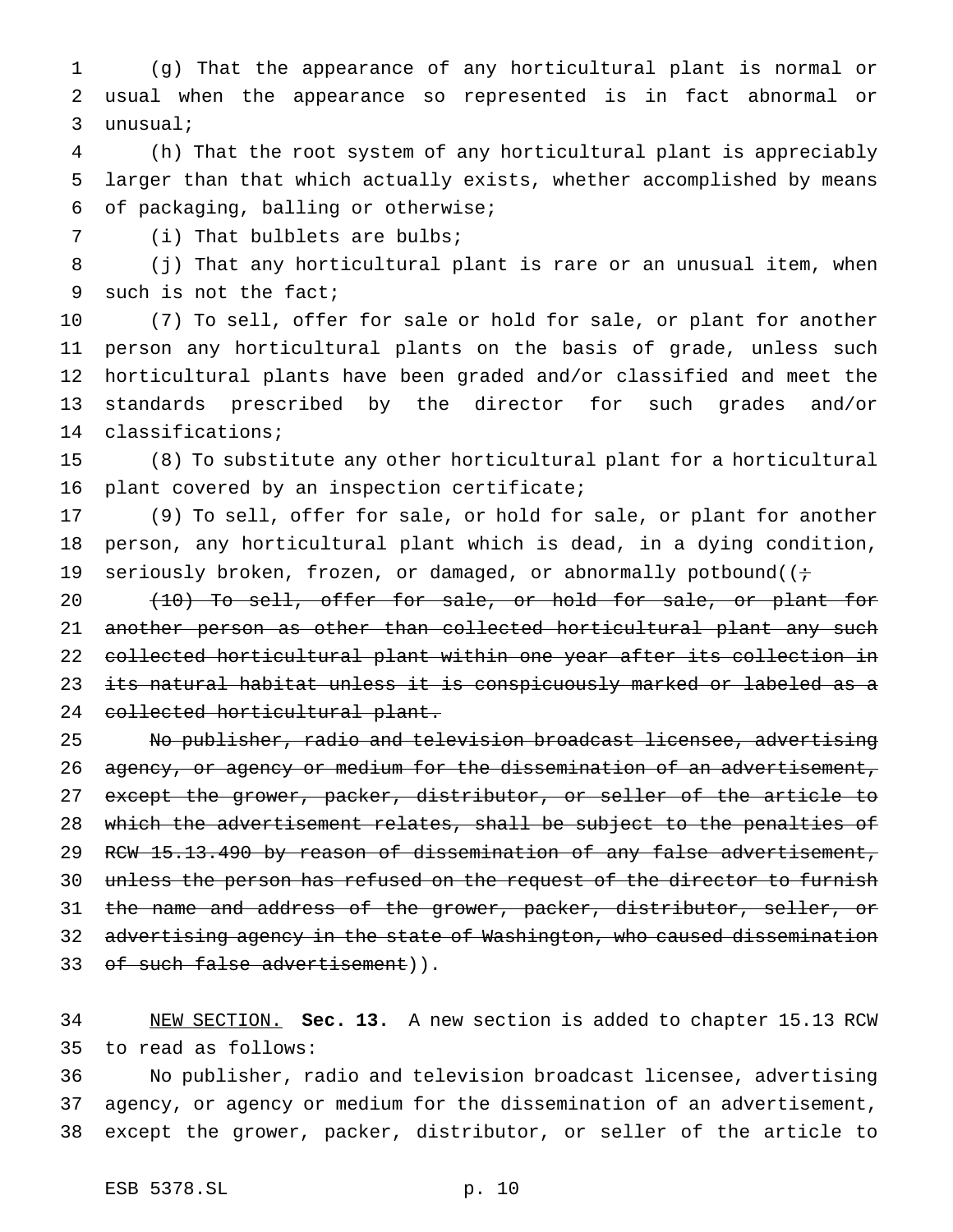(g) That the appearance of any horticultural plant is normal or usual when the appearance so represented is in fact abnormal or unusual;

 (h) That the root system of any horticultural plant is appreciably larger than that which actually exists, whether accomplished by means of packaging, balling or otherwise;

7 (i) That bulblets are bulbs;

 (j) That any horticultural plant is rare or an unusual item, when such is not the fact;

 (7) To sell, offer for sale or hold for sale, or plant for another person any horticultural plants on the basis of grade, unless such horticultural plants have been graded and/or classified and meet the standards prescribed by the director for such grades and/or classifications;

 (8) To substitute any other horticultural plant for a horticultural plant covered by an inspection certificate;

 (9) To sell, offer for sale, or hold for sale, or plant for another person, any horticultural plant which is dead, in a dying condition, 19 seriously broken, frozen, or damaged, or abnormally potbound( $(i \div j)$ 

20 (10) To sell, offer for sale, or hold for sale, or plant for 21 another person as other than collected horticultural plant any such collected horticultural plant within one year after its collection in its natural habitat unless it is conspicuously marked or labeled as a collected horticultural plant.

 No publisher, radio and television broadcast licensee, advertising 26 agency, or agency or medium for the dissemination of an advertisement, 27 except the grower, packer, distributor, or seller of the article to which the advertisement relates, shall be subject to the penalties of 29 RCW 15.13.490 by reason of dissemination of any false advertisement, unless the person has refused on the request of the director to furnish 31 the name and address of the grower, packer, distributor, seller, or 32 advertising agency in the state of Washington, who caused dissemination 33 of such false advertisement)).

 NEW SECTION. **Sec. 13.** A new section is added to chapter 15.13 RCW to read as follows:

 No publisher, radio and television broadcast licensee, advertising agency, or agency or medium for the dissemination of an advertisement, except the grower, packer, distributor, or seller of the article to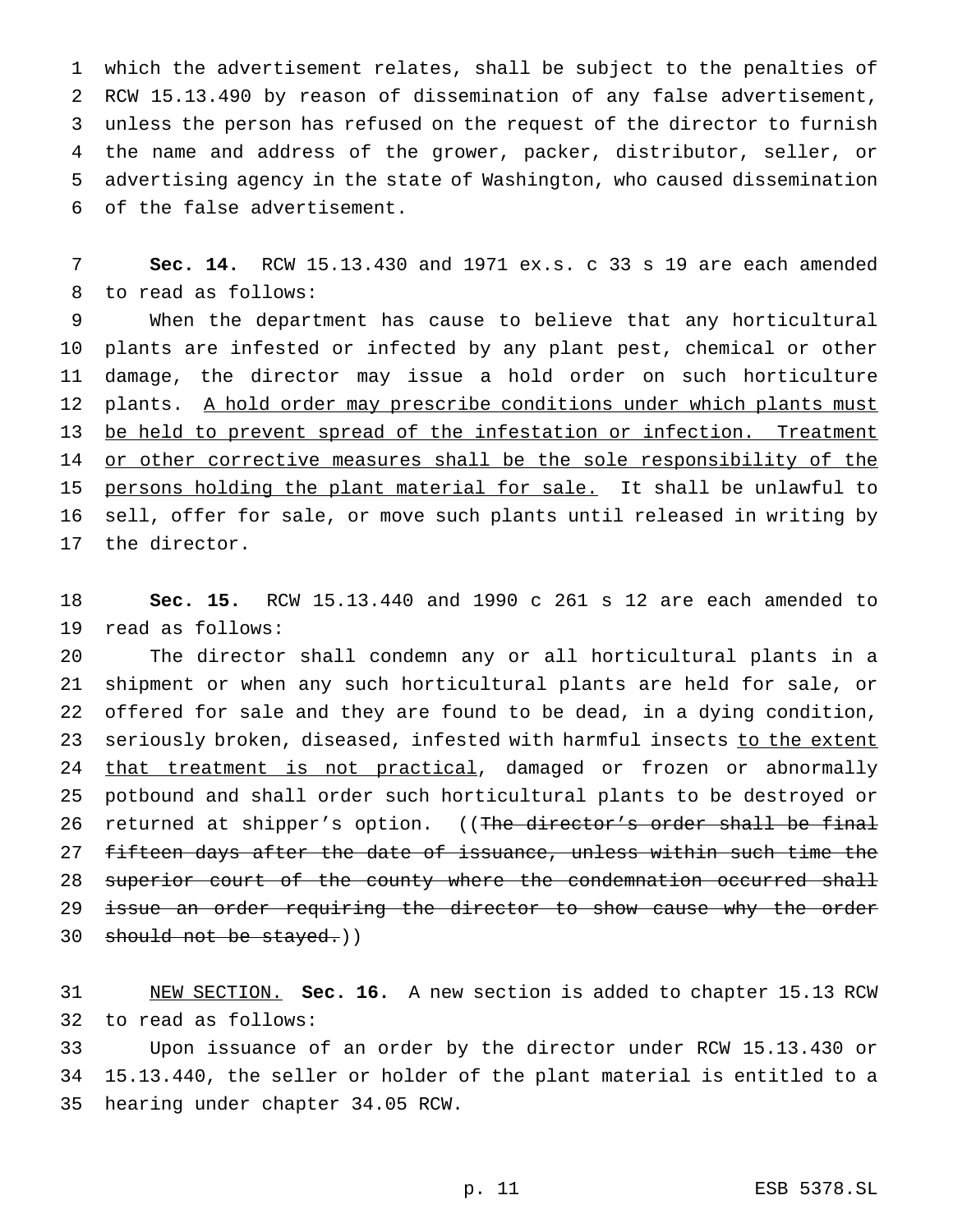which the advertisement relates, shall be subject to the penalties of RCW 15.13.490 by reason of dissemination of any false advertisement, unless the person has refused on the request of the director to furnish the name and address of the grower, packer, distributor, seller, or advertising agency in the state of Washington, who caused dissemination of the false advertisement.

 **Sec. 14.** RCW 15.13.430 and 1971 ex.s. c 33 s 19 are each amended to read as follows:

 When the department has cause to believe that any horticultural plants are infested or infected by any plant pest, chemical or other damage, the director may issue a hold order on such horticulture 12 plants. A hold order may prescribe conditions under which plants must 13 be held to prevent spread of the infestation or infection. Treatment 14 or other corrective measures shall be the sole responsibility of the persons holding the plant material for sale. It shall be unlawful to sell, offer for sale, or move such plants until released in writing by the director.

 **Sec. 15.** RCW 15.13.440 and 1990 c 261 s 12 are each amended to read as follows:

 The director shall condemn any or all horticultural plants in a shipment or when any such horticultural plants are held for sale, or offered for sale and they are found to be dead, in a dying condition, 23 seriously broken, diseased, infested with harmful insects to the extent 24 that treatment is not practical, damaged or frozen or abnormally potbound and shall order such horticultural plants to be destroyed or 26 returned at shipper's option. ((The director's order shall be final 27 fifteen days after the date of issuance, unless within such time the 28 superior court of the county where the condemnation occurred shall 29 issue an order requiring the director to show cause why the order 30 should not be stayed.))

 NEW SECTION. **Sec. 16.** A new section is added to chapter 15.13 RCW to read as follows:

 Upon issuance of an order by the director under RCW 15.13.430 or 15.13.440, the seller or holder of the plant material is entitled to a hearing under chapter 34.05 RCW.